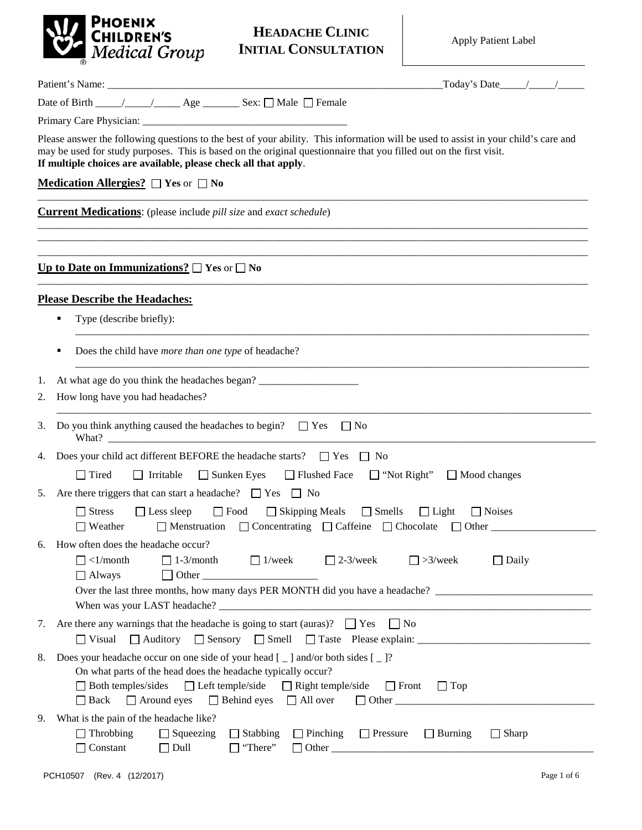

|    | $\text{Today's Date} \_\_\_\_\_\_\_\_\$                                                                                                                                                                                                                                                                                       |
|----|-------------------------------------------------------------------------------------------------------------------------------------------------------------------------------------------------------------------------------------------------------------------------------------------------------------------------------|
|    | Date of Birth ____/____/____Age ________ Sex: □ Male □ Female                                                                                                                                                                                                                                                                 |
|    |                                                                                                                                                                                                                                                                                                                               |
|    | Please answer the following questions to the best of your ability. This information will be used to assist in your child's care and<br>may be used for study purposes. This is based on the original questionnaire that you filled out on the first visit.<br>If multiple choices are available, please check all that apply. |
|    | Medication Allergies? $\Box$ Yes or $\Box$ No                                                                                                                                                                                                                                                                                 |
|    | <b>Current Medications:</b> (please include <i>pill size</i> and <i>exact schedule</i> )                                                                                                                                                                                                                                      |
|    | Up to Date on Immunizations? $\square$ Yes or $\square$ No                                                                                                                                                                                                                                                                    |
|    | <b>Please Describe the Headaches:</b>                                                                                                                                                                                                                                                                                         |
|    | Type (describe briefly):                                                                                                                                                                                                                                                                                                      |
|    | Does the child have more than one type of headache?                                                                                                                                                                                                                                                                           |
| 1. | At what age do you think the headaches began?                                                                                                                                                                                                                                                                                 |
| 2. | How long have you had headaches?                                                                                                                                                                                                                                                                                              |
| 3. | Do you think anything caused the headaches to begin? $\Box$ Yes $\Box$ No                                                                                                                                                                                                                                                     |
| 4. | Does your child act different BEFORE the headache starts? $\Box$ Yes $\Box$ No                                                                                                                                                                                                                                                |
|    | $\Box$ Tired<br>□ Flushed Face<br>$\Box$ "Not Right" $\Box$ Mood changes<br>$\Box$ Irritable<br>$\Box$ Sunken Eyes                                                                                                                                                                                                            |
| 5. | Are there triggers that can start a headache? $\Box$ Yes $\Box$ No                                                                                                                                                                                                                                                            |
|    | <b>Stress</b><br>$\Box$ Food<br>$\Box$ Skipping Meals $\Box$ Smells $\Box$ Light<br>$\Box$ Less sleep<br>$\Box$ Noises<br>$\Box$ Menstruation $\Box$ Concentrating $\Box$ Caffeine $\Box$ Chocolate $\Box$ Other<br>$\Box$ Weather                                                                                            |
| 6. | How often does the headache occur?<br>$\Box$ 1-3/month<br>$\Box$ 1/week<br>$\Box$ >3/week<br>$\Box$ <1/month<br>$\Box$ 2-3/week<br>$\Box$ Daily<br>$\Box$ Always<br>$\mathbf{I}$<br>Over the last three months, how many days PER MONTH did you have a headache?                                                              |
| 7. | Are there any warnings that the headache is going to start (auras)? $\Box$ Yes $\Box$ No<br>$\Box$ Visual                                                                                                                                                                                                                     |
| 8. | Does your headache occur on one side of your head $[-]$ and/or both sides $[-]$ ?<br>On what parts of the head does the headache typically occur?<br>$\Box$ Both temples/sides<br>$\Box$ Left temple/side $\Box$ Right temple/side<br>$\Box$ Front<br>$\Box$ Top<br>□ Back □ Around eyes □ Behind eyes □ All over             |
| 9. | What is the pain of the headache like?<br>$\Box$ Throbbing<br>$\Box$ Squeezing<br>$\Box$ Stabbing<br>$\Box$ Pinching<br>$\Box$ Pressure<br>$\Box$ Sharp<br>$\Box$ Burning<br>Constant<br>$\Box$ Dull<br>"There"                                                                                                               |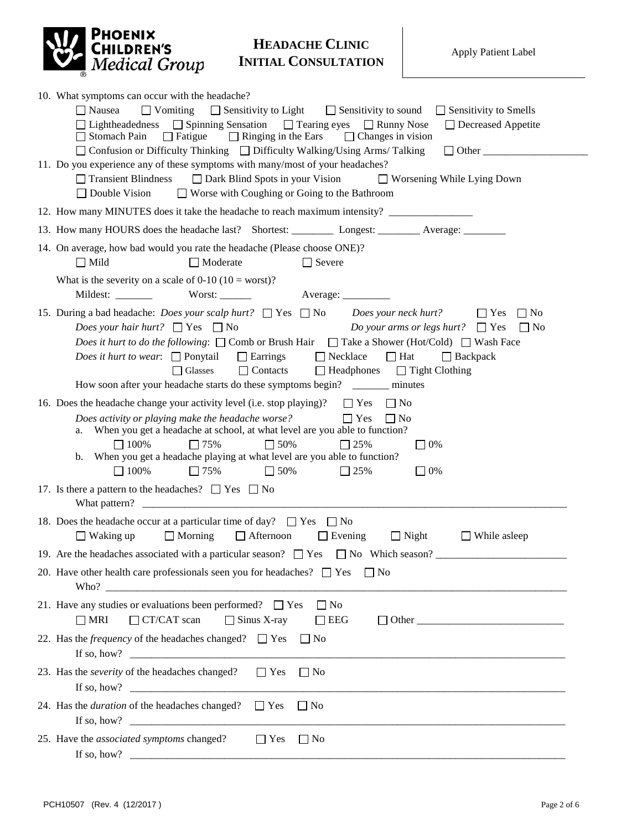

| 10. What symptoms can occur with the headache?                                                                                                                               |  |  |  |  |  |  |  |  |
|------------------------------------------------------------------------------------------------------------------------------------------------------------------------------|--|--|--|--|--|--|--|--|
| $\Box$ Vomiting<br>$\Box$ Sensitivity to Light $\Box$ Sensitivity to sound<br>$\Box$ Nausea<br>$\Box$ Sensitivity to Smells                                                  |  |  |  |  |  |  |  |  |
| □ Lightheadedness □ Spinning Sensation □ Tearing eyes □ Runny Nose<br>□ Decreased Appetite                                                                                   |  |  |  |  |  |  |  |  |
| $\Box$ Fatigue<br>$\Box$ Ringing in the Ears<br>Stomach Pain<br>$\Box$ Changes in vision                                                                                     |  |  |  |  |  |  |  |  |
| □ Confusion or Difficulty Thinking □ Difficulty Walking/Using Arms/ Talking<br>$\Box$ Other<br>11. Do you experience any of these symptoms with many/most of your headaches? |  |  |  |  |  |  |  |  |
| □ Dark Blind Spots in your Vision<br>$\Box$ Transient Blindness<br>$\Box$ Worsening While Lying Down                                                                         |  |  |  |  |  |  |  |  |
| $\Box$ Worse with Coughing or Going to the Bathroom<br>$\Box$ Double Vision                                                                                                  |  |  |  |  |  |  |  |  |
| 12. How many MINUTES does it take the headache to reach maximum intensity?                                                                                                   |  |  |  |  |  |  |  |  |
|                                                                                                                                                                              |  |  |  |  |  |  |  |  |
| 14. On average, how bad would you rate the headache (Please choose ONE)?                                                                                                     |  |  |  |  |  |  |  |  |
| $\Box$ Mild<br>$\Box$ Moderate<br>$\Box$ Severe                                                                                                                              |  |  |  |  |  |  |  |  |
| What is the severity on a scale of 0-10 (10 = worst)?                                                                                                                        |  |  |  |  |  |  |  |  |
| Worst: $\frac{1}{1}$<br>Average: __________                                                                                                                                  |  |  |  |  |  |  |  |  |
| 15. During a bad headache: <i>Does your scalp hurt</i> ? $\Box$ Yes $\Box$ No<br>Does your neck hurt?<br>$\Box$ Yes<br>$\Box$ No                                             |  |  |  |  |  |  |  |  |
| <i>Does your hair hurt?</i> $\Box$ Yes $\Box$ No<br><i>Do your arms or legs hurt?</i> $\Box$ Yes<br>$\Box$ No                                                                |  |  |  |  |  |  |  |  |
| <i>Does it hurt to do the following</i> : $\Box$ Comb or Brush Hair $\Box$ Take a Shower (Hot/Cold) $\Box$ Wash Face                                                         |  |  |  |  |  |  |  |  |
| <i>Does it hurt to wear</i> : $\Box$ Ponytail<br>$\Box$ Earrings<br>$\Box$ Necklace<br>$\Box$ Hat<br>$\Box$ Backpack                                                         |  |  |  |  |  |  |  |  |
| $\Box$ Glasses<br>$\Box$ Contacts<br>$\Box$ Headphones $\Box$ Tight Clothing                                                                                                 |  |  |  |  |  |  |  |  |
| How soon after your headache starts do these symptoms begin? ________ minutes                                                                                                |  |  |  |  |  |  |  |  |
| 16. Does the headache change your activity level (i.e. stop playing)?<br>$\Box$ Yes<br>$\Box$ No                                                                             |  |  |  |  |  |  |  |  |
| Does activity or playing make the headache worse?<br>$\Gamma$ Yes<br>$\Box$ No                                                                                               |  |  |  |  |  |  |  |  |
| a. When you get a headache at school, at what level are you able to function?<br>$\Box$ 100%<br>$\Box$ 25%                                                                   |  |  |  |  |  |  |  |  |
| $\Box$ 75%<br>$\Box$ 50%<br>$\Box$ 0%<br>When you get a headache playing at what level are you able to function?<br>b.                                                       |  |  |  |  |  |  |  |  |
| $\Box$ 100%<br>$\Box$ 75%<br>$\Box$ 50%<br>$\Box$ 25%<br>$\Box$ 0%                                                                                                           |  |  |  |  |  |  |  |  |
| 17. Is there a pattern to the headaches? $\Box$ Yes $\Box$ No                                                                                                                |  |  |  |  |  |  |  |  |
|                                                                                                                                                                              |  |  |  |  |  |  |  |  |
| 18. Does the headache occur at a particular time of day? $\Box$ Yes $\Box$ No                                                                                                |  |  |  |  |  |  |  |  |
| $\Box$ Morning<br>$\Box$ Afternoon<br>$\Box$ Waking up<br>$\Box$ Evening<br>$\Box$ Night<br>$\Box$ While asleep                                                              |  |  |  |  |  |  |  |  |
| 19. Are the headaches associated with a particular season? $\Box$ Yes<br>$\Box$ No Which season?                                                                             |  |  |  |  |  |  |  |  |
| 20. Have other health care professionals seen you for headaches? $\Box$ Yes<br>$\Box$ No                                                                                     |  |  |  |  |  |  |  |  |
| Who? $\overline{\phantom{a}}$                                                                                                                                                |  |  |  |  |  |  |  |  |
| 21. Have any studies or evaluations been performed? $\Box$ Yes<br>$\Box$ No                                                                                                  |  |  |  |  |  |  |  |  |
| $\Box$ CT/CAT scan<br>$\Box$ Sinus X-ray<br>$\Box$ MRI<br>$\Box$ EEG                                                                                                         |  |  |  |  |  |  |  |  |
| 22. Has the <i>frequency</i> of the headaches changed? $\Box$ Yes<br>$\Box$ No                                                                                               |  |  |  |  |  |  |  |  |
|                                                                                                                                                                              |  |  |  |  |  |  |  |  |
| 23. Has the <i>severity</i> of the headaches changed?<br>$\Box$ Yes<br>$\Box$ No                                                                                             |  |  |  |  |  |  |  |  |
|                                                                                                                                                                              |  |  |  |  |  |  |  |  |
| 24. Has the <i>duration</i> of the headaches changed?<br>$\Box$ Yes $\Box$ No                                                                                                |  |  |  |  |  |  |  |  |
|                                                                                                                                                                              |  |  |  |  |  |  |  |  |
| 25. Have the <i>associated symptoms</i> changed?<br>$\Box$ Yes<br>$\Box$ No                                                                                                  |  |  |  |  |  |  |  |  |
| <u> 1980 - Jan Barnett, martin film fan de Amerikaansk kommunister (</u><br>If so, how?                                                                                      |  |  |  |  |  |  |  |  |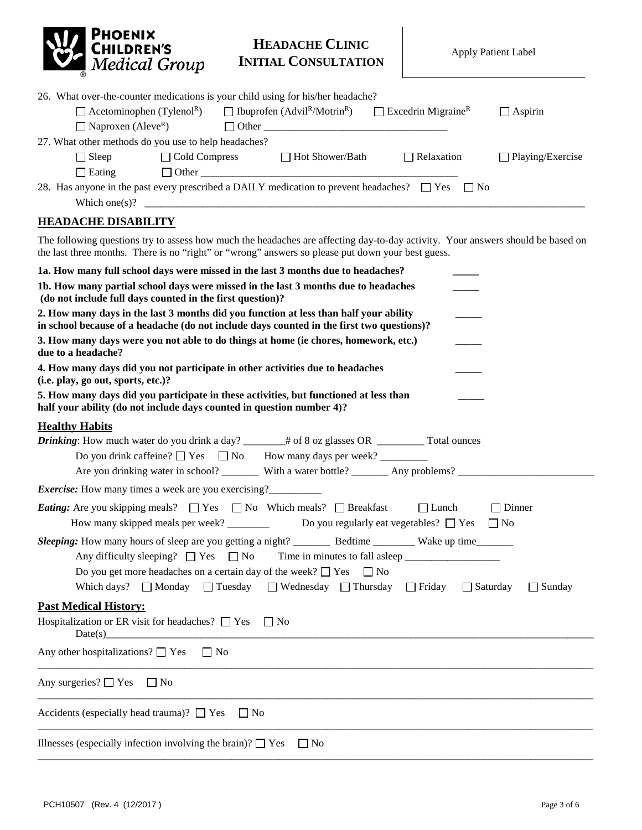

| 26. What over-the-counter medications is your child using for his/her headache? |                      |              |                                                                                                 |                                       |           |                         |  |
|---------------------------------------------------------------------------------|----------------------|--------------|-------------------------------------------------------------------------------------------------|---------------------------------------|-----------|-------------------------|--|
| $\Box$ Acetominophen (Tylenol <sup>R</sup> )                                    |                      |              | $\Box$ Ibuprofen (Advil <sup>R</sup> /Motrin <sup>R</sup> )                                     | $\Box$ Excedrin Migraine <sup>R</sup> |           | $\Box$ Aspirin          |  |
| $\Box$ Naproxen (Aleve <sup>R</sup> )                                           |                      | $\Box$ Other |                                                                                                 |                                       |           |                         |  |
| 27. What other methods do you use to help headaches?                            |                      |              |                                                                                                 |                                       |           |                         |  |
| $\Box$ Sleep                                                                    | $\Box$ Cold Compress |              | $\Box$ Hot Shower/Bath                                                                          | $\Box$ Relaxation                     |           | $\Box$ Playing/Exercise |  |
| $\Box$ Eating                                                                   | $\Box$ Other         |              |                                                                                                 |                                       |           |                         |  |
|                                                                                 |                      |              | 28. Has anyone in the past every prescribed a DAILY medication to prevent headaches? $\Box$ Yes |                                       | $\Box$ No |                         |  |
| Which one(s)?                                                                   |                      |              |                                                                                                 |                                       |           |                         |  |

#### **HEADACHE DISABILITY**

The following questions try to assess how much the headaches are affecting day-to-day activity. Your answers should be based on the last three months. There is no "right" or "wrong" answers so please put down your best guess.

| 1a. How many full school days were missed in the last 3 months due to headaches?                                                                                                                                                      |
|---------------------------------------------------------------------------------------------------------------------------------------------------------------------------------------------------------------------------------------|
| 1b. How many partial school days were missed in the last 3 months due to headaches<br>(do not include full days counted in the first question)?                                                                                       |
| 2. How many days in the last 3 months did you function at less than half your ability<br>in school because of a headache (do not include days counted in the first two questions)?                                                    |
| 3. How many days were you not able to do things at home (ie chores, homework, etc.)<br>due to a headache?                                                                                                                             |
| 4. How many days did you not participate in other activities due to headaches<br>(i.e. play, go out, sports, etc.)?                                                                                                                   |
| 5. How many days did you participate in these activities, but functioned at less than<br>half your ability (do not include days counted in question number 4)?                                                                        |
| <b>Healthy Habits</b><br>Are you drinking water in school? With a water bottle? _________ Any problems? _____________________                                                                                                         |
| <i>Exercise:</i> How many times a week are you exercising?                                                                                                                                                                            |
| <i>Eating:</i> Are you skipping meals? $\Box$ Yes $\Box$ No Which meals? $\Box$ Breakfast<br>$\Box$ Dinner<br>$\Box$ Lunch<br>How many skipped meals per week? __________ Do you regularly eat vegetables? $\square$ Yes $\square$ No |
| Do you get more headaches on a certain day of the week? $\Box$ Yes<br>$\Box$ No<br>Which days? $\Box$ Monday $\Box$ Tuesday $\Box$ Wednesday $\Box$ Thursday $\Box$ Friday $\Box$ Saturday<br>$\Box$ Sunday                           |
| <b>Past Medical History:</b><br>Hospitalization or ER visit for headaches? $\Box$ Yes $\Box$ No                                                                                                                                       |
| Any other hospitalizations? $\Box$ Yes $\Box$ No                                                                                                                                                                                      |
| Any surgeries? $\Box$ Yes $\Box$ No                                                                                                                                                                                                   |
| Accidents (especially head trauma)? $\Box$ Yes $\Box$ No                                                                                                                                                                              |
| Illnesses (especially infection involving the brain)? $\Box$ Yes<br>$\overline{\phantom{a}}$   No                                                                                                                                     |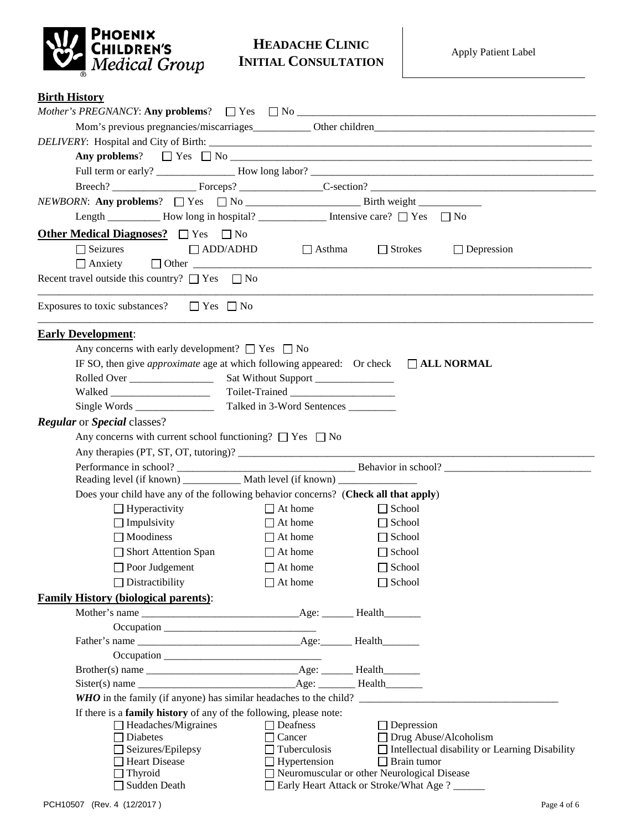

#### **Birth History**

| Length ___________ How long in hospital? ________________ Intensive care? □ Yes □ No                    |                                                           |                                                       |  |  |  |  |  |  |
|---------------------------------------------------------------------------------------------------------|-----------------------------------------------------------|-------------------------------------------------------|--|--|--|--|--|--|
| <b>Other Medical Diagnoses?</b> $\Box$ Yes $\Box$ No                                                    |                                                           |                                                       |  |  |  |  |  |  |
| $\Box$ Seizures<br>$\Box$ ADD/ADHD                                                                      | $\Box$ Asthma                                             | $\Box$ Strokes<br>$\Box$ Depression                   |  |  |  |  |  |  |
|                                                                                                         |                                                           |                                                       |  |  |  |  |  |  |
| Recent travel outside this country? $\Box$ Yes $\Box$ No                                                |                                                           |                                                       |  |  |  |  |  |  |
|                                                                                                         |                                                           |                                                       |  |  |  |  |  |  |
| Exposures to toxic substances? $\Box$ Yes $\Box$ No                                                     |                                                           |                                                       |  |  |  |  |  |  |
| <b>Early Development:</b>                                                                               |                                                           |                                                       |  |  |  |  |  |  |
| Any concerns with early development? $\Box$ Yes $\Box$ No                                               |                                                           |                                                       |  |  |  |  |  |  |
| IF SO, then give <i>approximate</i> age at which following appeared: Or check $\Box$ <b>ALL NORMAL</b>  |                                                           |                                                       |  |  |  |  |  |  |
|                                                                                                         |                                                           |                                                       |  |  |  |  |  |  |
|                                                                                                         |                                                           |                                                       |  |  |  |  |  |  |
|                                                                                                         | Talked in 3-Word Sentences                                |                                                       |  |  |  |  |  |  |
| <b>Regular</b> or <b>Special</b> classes?                                                               |                                                           |                                                       |  |  |  |  |  |  |
| Any concerns with current school functioning? $\Box$ Yes $\Box$ No                                      |                                                           |                                                       |  |  |  |  |  |  |
|                                                                                                         |                                                           |                                                       |  |  |  |  |  |  |
|                                                                                                         |                                                           |                                                       |  |  |  |  |  |  |
|                                                                                                         |                                                           |                                                       |  |  |  |  |  |  |
| Does your child have any of the following behavior concerns? (Check all that apply)                     |                                                           |                                                       |  |  |  |  |  |  |
| $\Box$ Hyperactivity                                                                                    | $\Box$ At home                                            | $\Box$ School                                         |  |  |  |  |  |  |
| $\Box$ Impulsivity                                                                                      | $\Box$ At home                                            | $\Box$ School                                         |  |  |  |  |  |  |
| $\Box$ Moodiness                                                                                        | $\Box$ At home                                            | $\Box$ School                                         |  |  |  |  |  |  |
| Short Attention Span                                                                                    | $\Box$ At home                                            | $\Box$ School                                         |  |  |  |  |  |  |
| $\Box$ Poor Judgement                                                                                   | $\Box$ At home                                            | $\Box$ School                                         |  |  |  |  |  |  |
| $\Box$ Distractibility                                                                                  | $\Box$ At home                                            | $\Box$ School                                         |  |  |  |  |  |  |
|                                                                                                         |                                                           |                                                       |  |  |  |  |  |  |
| <b>Family History (biological parents):</b>                                                             |                                                           |                                                       |  |  |  |  |  |  |
|                                                                                                         |                                                           |                                                       |  |  |  |  |  |  |
|                                                                                                         |                                                           |                                                       |  |  |  |  |  |  |
|                                                                                                         |                                                           |                                                       |  |  |  |  |  |  |
|                                                                                                         |                                                           |                                                       |  |  |  |  |  |  |
|                                                                                                         |                                                           |                                                       |  |  |  |  |  |  |
|                                                                                                         |                                                           |                                                       |  |  |  |  |  |  |
|                                                                                                         |                                                           |                                                       |  |  |  |  |  |  |
| If there is a <b>family history</b> of any of the following, please note:<br>$\Box$ Headaches/Migraines | $\Box$ Deafness                                           | $\Box$ Depression                                     |  |  |  |  |  |  |
| $\Box$ Diabetes                                                                                         | $\Box$ Cancer                                             | $\Box$ Drug Abuse/Alcoholism                          |  |  |  |  |  |  |
| $\Box$ Seizures/Epilepsy                                                                                | $\Box$ Tuberculosis                                       | $\Box$ Intellectual disability or Learning Disability |  |  |  |  |  |  |
| Heart Disease                                                                                           | $\Box$ Hypertension                                       | $\Box$ Brain tumor                                    |  |  |  |  |  |  |
| $\Box$ Thyroid                                                                                          |                                                           | □ Neuromuscular or other Neurological Disease         |  |  |  |  |  |  |
|                                                                                                         | Sudden Death<br>□ Early Heart Attack or Stroke/What Age ? |                                                       |  |  |  |  |  |  |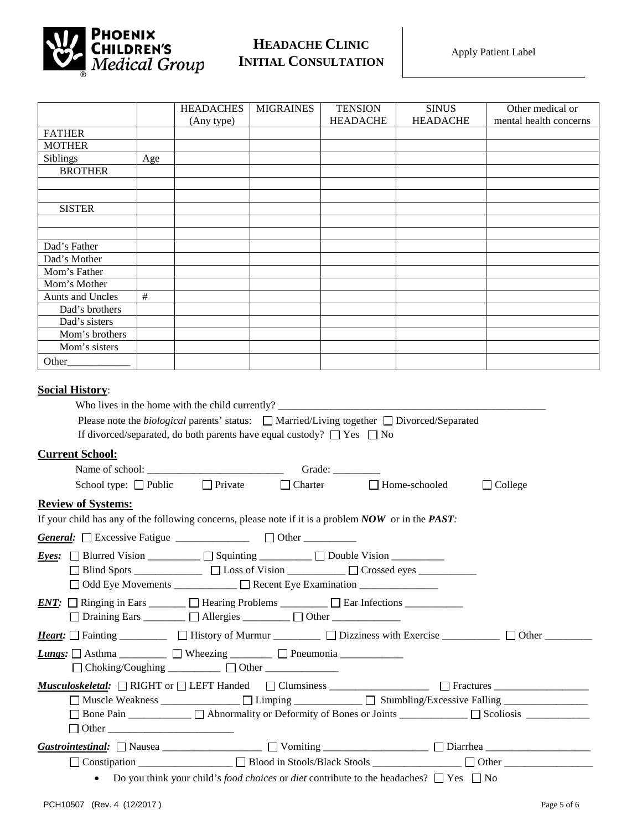

|                                                                                                          |     | <b>HEADACHES</b>                                                                  | <b>MIGRAINES</b> | <b>TENSION</b>  | <b>SINUS</b>                                                                                      | Other medical or       |  |
|----------------------------------------------------------------------------------------------------------|-----|-----------------------------------------------------------------------------------|------------------|-----------------|---------------------------------------------------------------------------------------------------|------------------------|--|
|                                                                                                          |     | (Any type)                                                                        |                  | <b>HEADACHE</b> | <b>HEADACHE</b>                                                                                   | mental health concerns |  |
| <b>FATHER</b>                                                                                            |     |                                                                                   |                  |                 |                                                                                                   |                        |  |
| <b>MOTHER</b>                                                                                            |     |                                                                                   |                  |                 |                                                                                                   |                        |  |
| <b>Siblings</b>                                                                                          | Age |                                                                                   |                  |                 |                                                                                                   |                        |  |
| <b>BROTHER</b>                                                                                           |     |                                                                                   |                  |                 |                                                                                                   |                        |  |
|                                                                                                          |     |                                                                                   |                  |                 |                                                                                                   |                        |  |
|                                                                                                          |     |                                                                                   |                  |                 |                                                                                                   |                        |  |
| <b>SISTER</b>                                                                                            |     |                                                                                   |                  |                 |                                                                                                   |                        |  |
|                                                                                                          |     |                                                                                   |                  |                 |                                                                                                   |                        |  |
|                                                                                                          |     |                                                                                   |                  |                 |                                                                                                   |                        |  |
| Dad's Father                                                                                             |     |                                                                                   |                  |                 |                                                                                                   |                        |  |
| Dad's Mother                                                                                             |     |                                                                                   |                  |                 |                                                                                                   |                        |  |
| Mom's Father                                                                                             |     |                                                                                   |                  |                 |                                                                                                   |                        |  |
| Mom's Mother                                                                                             |     |                                                                                   |                  |                 |                                                                                                   |                        |  |
| <b>Aunts and Uncles</b>                                                                                  | #   |                                                                                   |                  |                 |                                                                                                   |                        |  |
| Dad's brothers                                                                                           |     |                                                                                   |                  |                 |                                                                                                   |                        |  |
| Dad's sisters                                                                                            |     |                                                                                   |                  |                 |                                                                                                   |                        |  |
| Mom's brothers                                                                                           |     |                                                                                   |                  |                 |                                                                                                   |                        |  |
| Mom's sisters                                                                                            |     |                                                                                   |                  |                 |                                                                                                   |                        |  |
|                                                                                                          |     |                                                                                   |                  |                 |                                                                                                   |                        |  |
|                                                                                                          |     |                                                                                   |                  |                 |                                                                                                   |                        |  |
| <b>Social History:</b>                                                                                   |     |                                                                                   |                  |                 |                                                                                                   |                        |  |
|                                                                                                          |     | Who lives in the home with the child currently? _________________________________ |                  |                 |                                                                                                   |                        |  |
|                                                                                                          |     |                                                                                   |                  |                 | Please note the <i>biological</i> parents' status: □ Married/Living together □ Divorced/Separated |                        |  |
|                                                                                                          |     | If divorced/separated, do both parents have equal custody? $\Box$ Yes $\Box$ No   |                  |                 |                                                                                                   |                        |  |
|                                                                                                          |     |                                                                                   |                  |                 |                                                                                                   |                        |  |
| <b>Current School:</b>                                                                                   |     |                                                                                   |                  |                 |                                                                                                   |                        |  |
|                                                                                                          |     |                                                                                   |                  |                 |                                                                                                   |                        |  |
| $\Box$ Private $\Box$ Charter $\Box$ Home-schooled<br>$\Box$ College<br>School type: $\Box$ Public       |     |                                                                                   |                  |                 |                                                                                                   |                        |  |
|                                                                                                          |     |                                                                                   |                  |                 |                                                                                                   |                        |  |
| <b>Review of Systems:</b>                                                                                |     |                                                                                   |                  |                 |                                                                                                   |                        |  |
| If your child has any of the following concerns, please note if it is a problem $NOW$ or in the $PAST$ : |     |                                                                                   |                  |                 |                                                                                                   |                        |  |
|                                                                                                          |     |                                                                                   |                  |                 |                                                                                                   |                        |  |
|                                                                                                          |     |                                                                                   |                  |                 |                                                                                                   |                        |  |
| <i>Eyes:</i> $\Box$ Blurred Vision __________ $\Box$ Squinting _________ $\Box$ Double Vision _________  |     |                                                                                   |                  |                 |                                                                                                   |                        |  |
| □ Blind Spots _____________ □ Loss of Vision _________ □ Crossed eyes _                                  |     |                                                                                   |                  |                 |                                                                                                   |                        |  |

*ENT*:  $\Box$  Ringing in Ears  $\Box$  Hearing Problems  $\Box$  Ear Infections  $\Box$  Draining Ears \_\_\_\_\_\_\_\_ Allergies \_\_\_\_\_\_\_\_\_ Other \_\_\_\_\_\_\_\_\_\_\_\_\_ *Heart:*  $\Box$  Fainting \_\_\_\_\_\_\_\_  $\Box$  History of Murmur  $\Box$  Dizziness with Exercise  $\Box$  Other  $\Box$ *Lungs:* Asthma \_\_\_\_\_\_\_\_\_ Wheezing \_\_\_\_\_\_\_\_ Pneumonia \_\_\_\_\_\_\_\_\_\_\_\_  $\Box$  Choking/Coughing \_\_\_\_\_\_\_\_\_\_  $\Box$  Other \_\_\_\_\_\_\_\_\_\_\_\_ *Musculoskeletal:* □ RIGHT or □ LEFT Handed □ Clumsiness \_\_\_\_\_\_\_\_\_\_\_\_\_\_\_\_ □ Fractures \_\_\_\_\_\_\_\_\_\_\_\_\_\_\_\_\_\_\_\_\_\_\_\_\_\_\_\_\_\_\_  $\Box$  Muscle Weakness \_\_\_\_\_\_\_\_\_\_\_\_\_\_  $\Box$  Limping \_\_\_\_\_\_\_\_\_\_\_\_  $\Box$  Stumbling/Excessive Falling \_\_\_\_\_\_\_\_\_\_\_\_\_\_\_\_ Bone Pain \_\_\_\_\_\_\_\_\_\_\_\_ Abnormality or Deformity of Bones or Joints \_\_\_\_\_\_\_\_\_\_\_\_\_ Scoliosis \_\_\_\_\_\_\_\_\_\_\_\_ Other \_\_\_\_\_\_\_\_\_\_\_\_\_\_\_\_\_\_\_\_\_\_\_\_ *Gastrointestinal:* Nausea \_\_\_\_\_\_\_\_\_\_\_\_\_\_\_\_\_\_\_ Vomiting \_\_\_\_\_\_\_\_\_\_\_\_\_\_\_\_\_\_\_\_ Diarrhea \_\_\_\_\_\_\_\_\_\_\_\_\_\_\_\_\_\_\_\_

 $\Box$  Odd Eye Movements \_\_\_\_\_\_\_\_\_\_\_\_  $\Box$  Recent Eye Examination \_\_\_\_\_\_\_\_\_\_\_\_\_\_\_\_

Constipation \_\_\_\_\_\_\_\_\_\_\_\_\_\_\_\_\_\_ Blood in Stools/Black Stools \_\_\_\_\_\_\_\_\_\_\_\_\_\_\_\_\_ Other \_\_\_\_\_\_\_\_\_\_\_\_\_\_\_\_\_

• Do you think your child's *food choices* or *diet* contribute to the headaches?  $\Box$  Yes  $\Box$  No